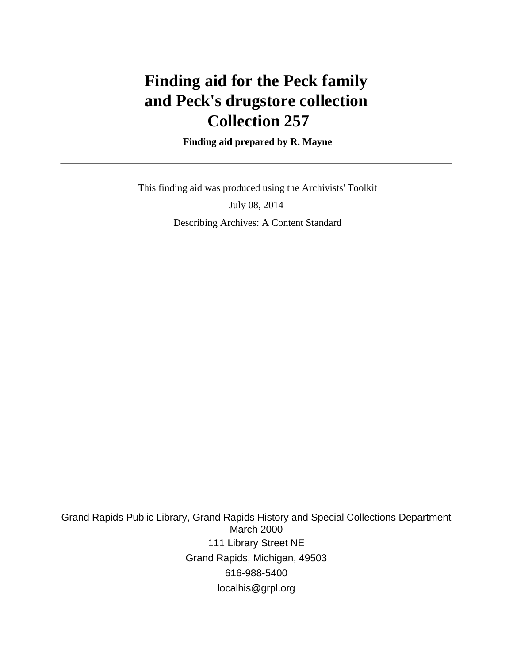# **Finding aid for the Peck family and Peck's drugstore collection Collection 257**

 **Finding aid prepared by R. Mayne**

 This finding aid was produced using the Archivists' Toolkit July 08, 2014 Describing Archives: A Content Standard

Grand Rapids Public Library, Grand Rapids History and Special Collections Department March 2000 111 Library Street NE Grand Rapids, Michigan, 49503 616-988-5400 localhis@grpl.org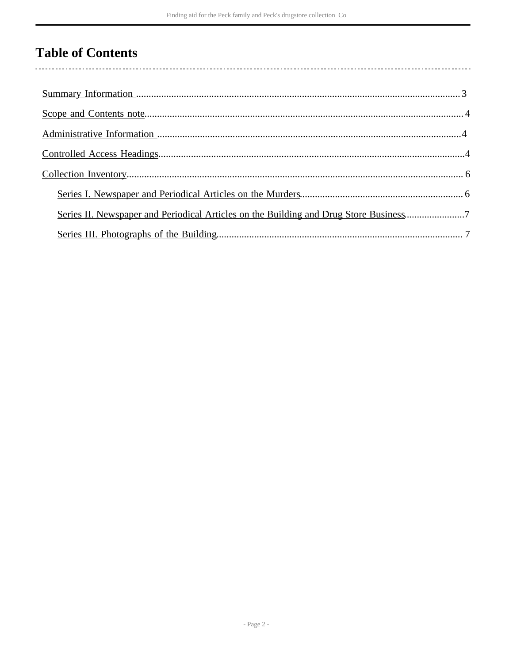## **Table of Contents**

 $\overline{\phantom{a}}$ 

| Series II. Newspaper and Periodical Articles on the Building and Drug Store Business7 |  |
|---------------------------------------------------------------------------------------|--|
|                                                                                       |  |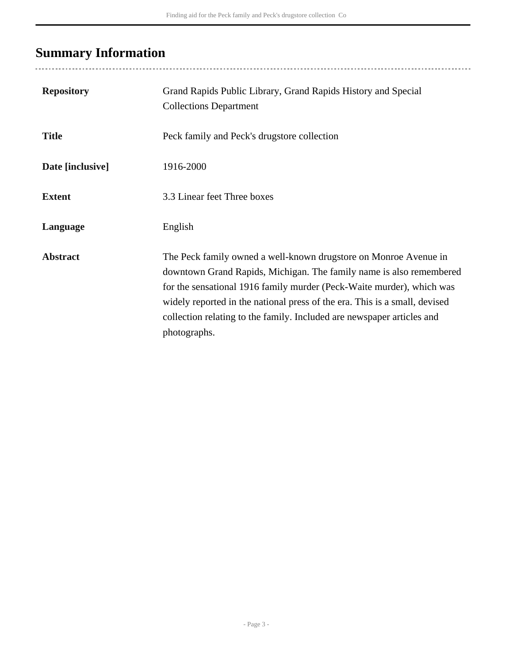## <span id="page-2-0"></span>**Summary Information**

| <b>Repository</b> | Grand Rapids Public Library, Grand Rapids History and Special<br><b>Collections Department</b>                                                                                                                                                                                                                                                                                           |
|-------------------|------------------------------------------------------------------------------------------------------------------------------------------------------------------------------------------------------------------------------------------------------------------------------------------------------------------------------------------------------------------------------------------|
| <b>Title</b>      | Peck family and Peck's drugstore collection                                                                                                                                                                                                                                                                                                                                              |
| Date [inclusive]  | 1916-2000                                                                                                                                                                                                                                                                                                                                                                                |
| <b>Extent</b>     | 3.3 Linear feet Three boxes                                                                                                                                                                                                                                                                                                                                                              |
| Language          | English                                                                                                                                                                                                                                                                                                                                                                                  |
| <b>Abstract</b>   | The Peck family owned a well-known drugstore on Monroe Avenue in<br>downtown Grand Rapids, Michigan. The family name is also remembered<br>for the sensational 1916 family murder (Peck-Waite murder), which was<br>widely reported in the national press of the era. This is a small, devised<br>collection relating to the family. Included are newspaper articles and<br>photographs. |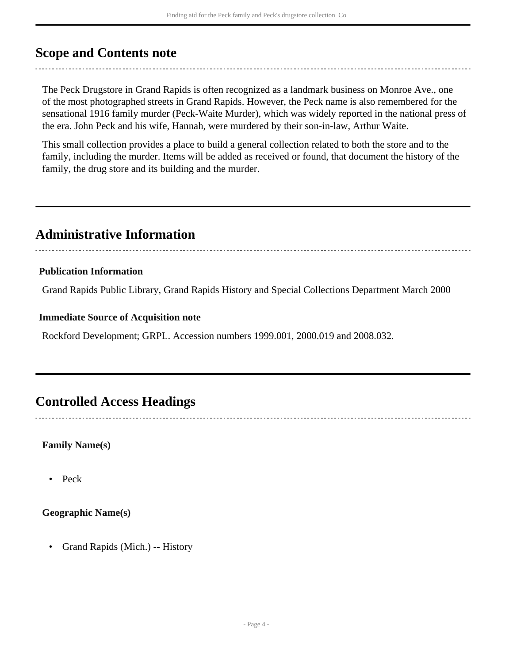### <span id="page-3-0"></span>**Scope and Contents note**

The Peck Drugstore in Grand Rapids is often recognized as a landmark business on Monroe Ave., one of the most photographed streets in Grand Rapids. However, the Peck name is also remembered for the sensational 1916 family murder (Peck-Waite Murder), which was widely reported in the national press of the era. John Peck and his wife, Hannah, were murdered by their son-in-law, Arthur Waite.

This small collection provides a place to build a general collection related to both the store and to the family, including the murder. Items will be added as received or found, that document the history of the family, the drug store and its building and the murder.

## <span id="page-3-1"></span>**Administrative Information**

#### **Publication Information**

Grand Rapids Public Library, Grand Rapids History and Special Collections Department March 2000

#### **Immediate Source of Acquisition note**

Rockford Development; GRPL. Accession numbers 1999.001, 2000.019 and 2008.032.

### <span id="page-3-2"></span>**Controlled Access Headings**

#### **Family Name(s)**

• Peck

#### **Geographic Name(s)**

• Grand Rapids (Mich.) -- History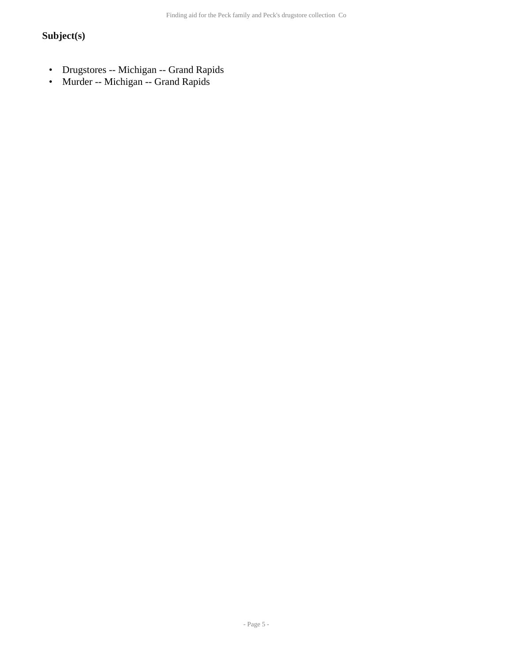### **Subject(s)**

- Drugstores -- Michigan -- Grand Rapids
- Murder -- Michigan -- Grand Rapids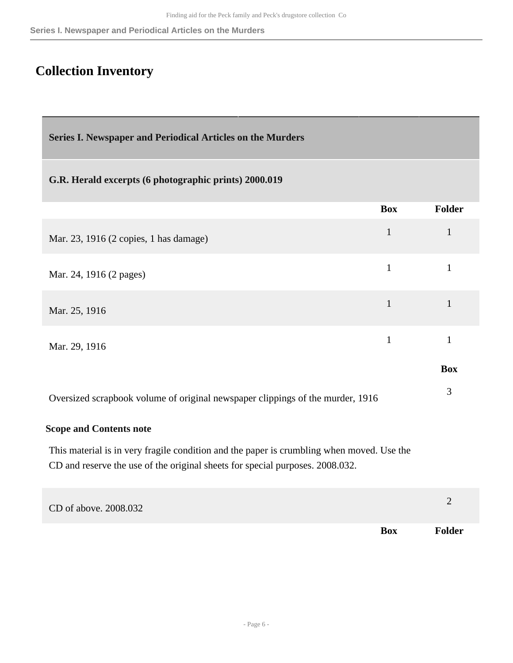## <span id="page-5-0"></span>**Collection Inventory**

<span id="page-5-1"></span>**Series I. Newspaper and Periodical Articles on the Murders** 

#### **G.R. Herald excerpts (6 photographic prints) 2000.019**

|                                                                                | <b>Box</b>   | Folder     |
|--------------------------------------------------------------------------------|--------------|------------|
| Mar. 23, 1916 (2 copies, 1 has damage)                                         | $\mathbf{1}$ |            |
| Mar. 24, 1916 (2 pages)                                                        | $\mathbf{1}$ |            |
| Mar. 25, 1916                                                                  | $\mathbf{1}$ |            |
| Mar. 29, 1916                                                                  | $\mathbf{1}$ |            |
|                                                                                |              | <b>Box</b> |
| Oversized scrapbook volume of original newspaper clippings of the murder, 1916 |              | 3          |

#### **Scope and Contents note**

This material is in very fragile condition and the paper is crumbling when moved. Use the CD and reserve the use of the original sheets for special purposes. 2008.032.

| CD of above. 2008.032 |            |               |
|-----------------------|------------|---------------|
|                       | <b>Box</b> | <b>Folder</b> |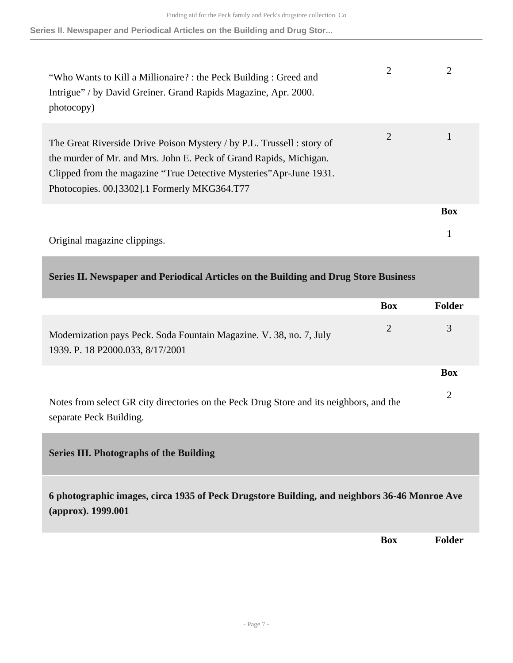**Series II. Newspaper and Periodical Articles on the Building and Drug Stor...**

| "Who Wants to Kill a Millionaire? : the Peck Building : Greed and<br>Intrigue" / by David Greiner. Grand Rapids Magazine, Apr. 2000.<br>photocopy)                                                                                                                  | 2 |            |
|---------------------------------------------------------------------------------------------------------------------------------------------------------------------------------------------------------------------------------------------------------------------|---|------------|
| The Great Riverside Drive Poison Mystery / by P.L. Trussell : story of<br>the murder of Mr. and Mrs. John E. Peck of Grand Rapids, Michigan.<br>Clipped from the magazine "True Detective Mysteries" Apr-June 1931.<br>Photocopies. 00.[3302].1 Formerly MKG364.T77 | 2 |            |
|                                                                                                                                                                                                                                                                     |   | <b>Box</b> |
| Original magazine clippings.                                                                                                                                                                                                                                        |   |            |

#### <span id="page-6-0"></span>**Series II. Newspaper and Periodical Articles on the Building and Drug Store Business**

<span id="page-6-1"></span>

|                                                                                                                    | <b>Box</b>     | <b>Folder</b>  |
|--------------------------------------------------------------------------------------------------------------------|----------------|----------------|
| Modernization pays Peck. Soda Fountain Magazine. V. 38, no. 7, July<br>1939. P. 18 P2000.033, 8/17/2001            | $\overline{2}$ | 3              |
|                                                                                                                    |                | <b>Box</b>     |
| Notes from select GR city directories on the Peck Drug Store and its neighbors, and the<br>separate Peck Building. |                | $\overline{2}$ |
| <b>Series III. Photographs of the Building</b>                                                                     |                |                |
| 6 photographic images, circa 1935 of Peck Drugstore Building, and neighbors 36-46 Monroe Ave<br>(approx). 1999.001 |                |                |
|                                                                                                                    | Box            | <b>Folder</b>  |